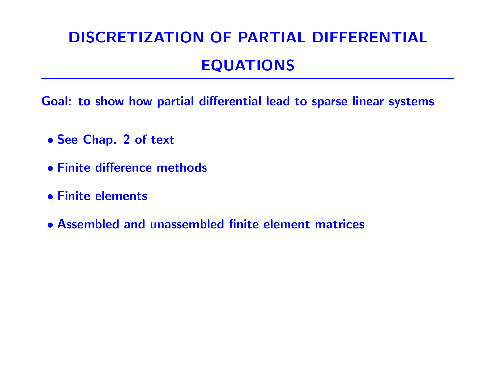# DISCRETIZATION OF PARTIAL DIFFERENTIAL EQUATIONS

Goal: to show how partial differential lead to sparse linear systems

- See Chap. 2 of text
- Finite difference methods
- Finite elements
- Assembled and unassembled finite element matrices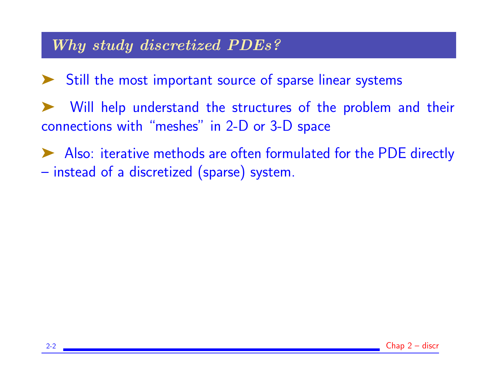## Why study discretized PDEs?

- ➤ Still the most important source of sparse linear systems
- Will help understand the structures of the problem and their connections with "meshes" in 2-D or 3-D space
- ➤ Also: iterative methods are often formulated for the PDE directly – instead of a discretized (sparse) system.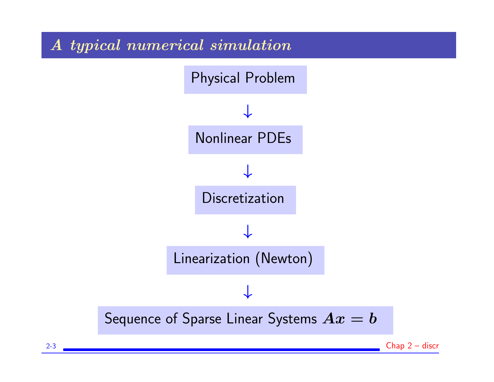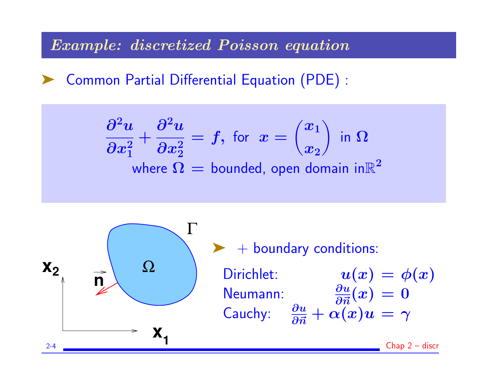#### Example: discretized Poisson equation

➤ Common Partial Differential Equation (PDE) :

$$
\frac{\partial^2 u}{\partial x_1^2} + \frac{\partial^2 u}{\partial x_2^2} = f, \text{ for } x = \begin{pmatrix} x_1 \\ x_2 \end{pmatrix} \text{ in } \Omega
$$
  
where  $\Omega$  = bounded, open domain in  $\mathbb{R}^2$ 

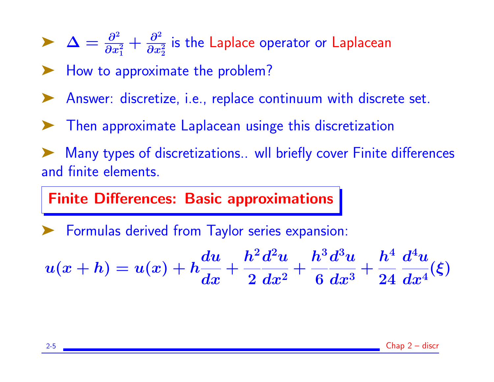$\sum \Delta = \frac{\partial^2}{\partial x^2}$  $\overline{\partial x_{1}^{2}}$  $+\frac{\partial^2}{\partial x^2}$  $\overline{\partial x_2^2}$ is the Laplace operator or Laplacean

► How to approximate the problem?

- Answer: discretize, i.e., replace continuum with discrete set.
- ➤ Then approximate Laplacean usinge this discretization

Many types of discretizations.. wll briefly cover Finite differences and finite elements.

### Finite Differences: Basic approximations

Formulas derived from Taylor series expansion:

$$
u(x+h) = u(x) + h\frac{du}{dx} + \frac{h^2 d^2u}{2 dx^2} + \frac{h^3 d^3u}{6 dx^3} + \frac{h^4}{24} \frac{d^4u}{dx^4}(\xi)
$$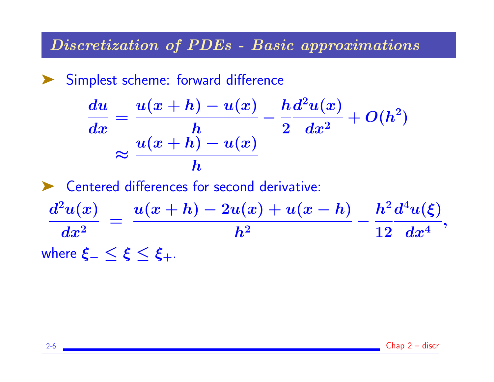#### Discretization of PDEs - Basic approximations

Simplest scheme: forward difference

$$
\frac{du}{dx} = \frac{u(x+h) - u(x)}{h} - \frac{h d^2 u(x)}{2} + O(h^2)
$$

$$
\approx \frac{u(x+h) - u(x)}{h}
$$

▶ Centered differences for second derivative:

 $d^2u(x)$  $\boldsymbol{dx^{2}}$ =  $u(x+h) - 2u(x) + u(x-h)$  $\bm{h^2}$ −  $\bm{h^2}$ 12  $d^4u(\xi)$  $\boldsymbol{dx^4}$ , where  $\xi_{-} < \xi < \xi_{+}$ .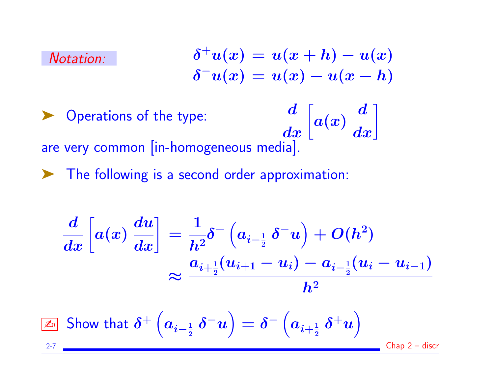#### Notation:

$$
\delta^+ u(x) = u(x+h) - u(x) \delta^- u(x) = u(x) - u(x-h)
$$

▶ Operations of the type:  $\frac{d}{dx}\biggl[$  $\bm{a}(\bm{x})$  $\begin{bmatrix} \boldsymbol{d} \ \boldsymbol{d x} \end{bmatrix}$ are very common [in-homogeneous media].

➤ The following is a second order approximation:

$$
\frac{d}{dx}\left[a(x)\,\frac{du}{dx}\right]=\frac{1}{h^2}\delta^+\left(a_{i-\frac{1}{2}}\,\delta^- u\right)+O(h^2)\\\approx\frac{a_{i+\frac{1}{2}}(u_{i+1}-u_i)-a_{i-\frac{1}{2}}(u_i-u_{i-1})}{h^2}
$$

$$
\boxed{\underline{\mathbb{A}}_{{\scriptscriptstyle\mathbb{D}}}} \text{ Show that } \delta^+\left(a_{\bm{i}-\frac{1}{2}}\,\delta^- u\right) = \delta^-\left(a_{\bm{i}+\frac{1}{2}}\,\delta^+ u\right) \qquad \qquad \text{Chap 2-discr}
$$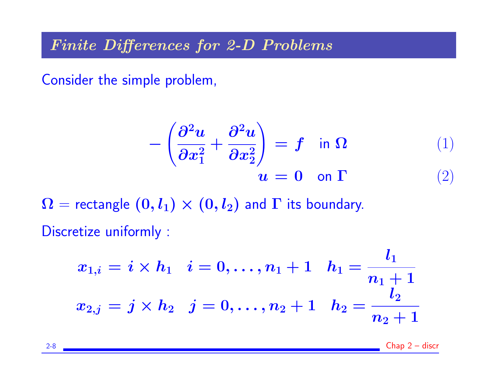Finite Differences for 2-D Problems

Consider the simple problem,

$$
-\left(\frac{\partial^2 u}{\partial x_1^2} + \frac{\partial^2 u}{\partial x_2^2}\right) = f \quad \text{in } \Omega \tag{1}
$$

$$
u = 0 \quad \text{on } \Gamma \tag{2}
$$

 $\Omega$  = rectangle  $(0, l_1) \times (0, l_2)$  and  $\Gamma$  its boundary. Discretize uniformly :

$$
\begin{aligned} x_{1,i} = i \times h_1 &\quad i = 0, \dots, n_1+1 &\quad h_1 = \frac{l_1}{n_1+1} \\ x_{2,j} = j \times h_2 &\quad j = 0, \dots, n_2+1 &\quad h_2 = \frac{l_2}{n_2+1} \end{aligned}
$$

2-8 Chap 2 – discr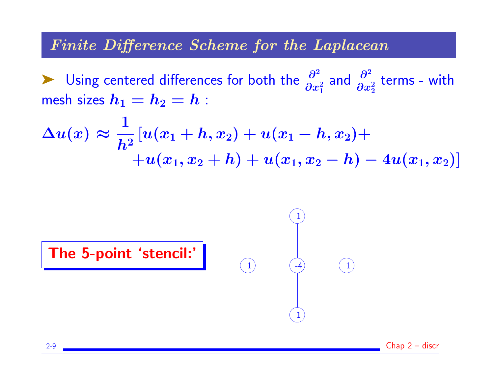#### Finite Difference Scheme for the Laplacean

► Using centered differences for both the  $\frac{\partial^2}{\partial x^2}$  $\overline{\partial x_{1}^{2}}$ and  $\frac{\partial^2}{\partial x^2}$  $\overline{\partial x_2^2}$ terms - with mesh sizes  $h_1 = h_2 = h$ :

$$
\Delta u(x) \approx \frac{1}{h^2}[u(x_1+h,x_2)+u(x_1-h,x_2)+\\+u(x_1,x_2+h)+u(x_1,x_2-h)-4u(x_1,x_2)]
$$

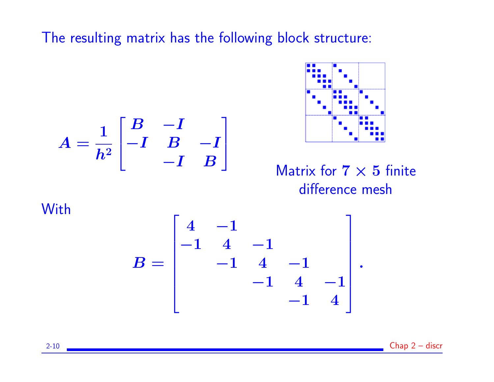The resulting matrix has the following block structure:

$$
A = \frac{1}{h^2} \begin{bmatrix} B & -I \\ -I & B & -I \\ & -I & B \end{bmatrix}
$$



Matrix for  $7 \times 5$  finite difference mesh

**With** 

$$
B = \begin{bmatrix} 4 & -1 & & & \\ -1 & 4 & -1 & & \\ & -1 & 4 & -1 & \\ & & -1 & 4 & -1 \\ & & & -1 & 4 \end{bmatrix}.
$$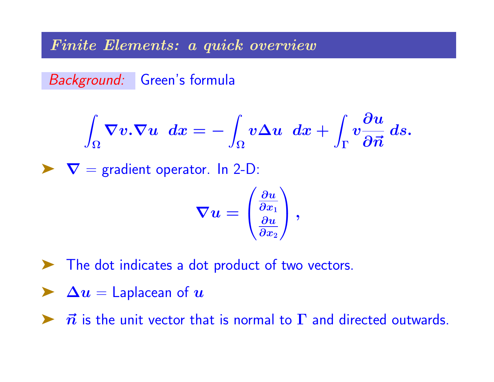#### Finite Elements: a quick overview

Background: Green's formula

$$
\int_\Omega \nabla v.\nabla u\, \ dx=-\int_\Omega v\Delta u \, \ dx+\int_\Gamma v\frac{\partial u}{\partial {\vec n}}\, ds.
$$

 $\blacktriangleright \nabla$  = gradient operator. In 2-D:

$$
\boldsymbol{\nabla} u = \left(\begin{matrix} \frac{\partial u}{\partial x_1} \\ \frac{\partial u}{\partial x_2} \end{matrix}\right),
$$

- ➤ The dot indicates a dot product of two vectors.
- $\triangleright$   $\Delta u =$  Laplacean of  $u$
- $\triangleright$   $\vec{n}$  is the unit vector that is normal to  $\Gamma$  and directed outwards.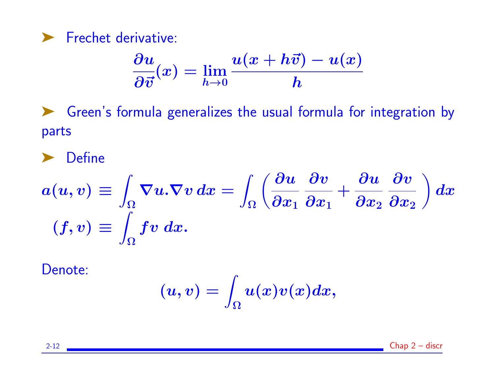▶ Frechet derivative:

$$
\frac{\partial u}{\partial \vec{v}}(x) = \lim_{h\to 0} \frac{u(x+h\vec{v})-u(x)}{h}
$$

➤ Green's formula generalizes the usual formula for integration by parts

➤ Define

$$
a(u,v) \equiv \int_{\Omega} \nabla u.\nabla v \, dx = \int_{\Omega} \left( \frac{\partial u}{\partial x_1} \frac{\partial v}{\partial x_1} + \frac{\partial u}{\partial x_2} \frac{\partial v}{\partial x_2} \right) dx
$$

$$
(f,v) \equiv \int_{\Omega} fv \, dx.
$$

Denote:

$$
(u,v)=\int_{\Omega}u(x)v(x)dx,
$$

2-12 Chap 2 – discr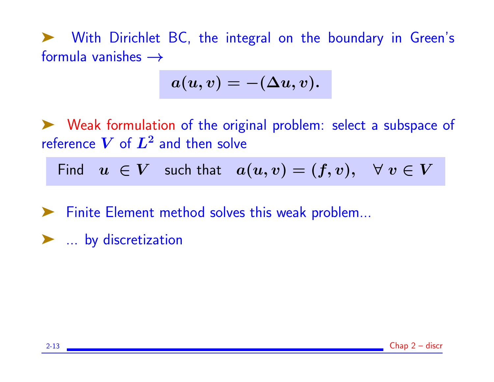➤ With Dirichlet BC, the integral on the boundary in Green's formula vanishes  $\rightarrow$ 

$$
a(u,v)=-(\Delta u,v).
$$

➤ Weak formulation of the original problem: select a subspace of reference  $\boldsymbol{V}$  of  $\boldsymbol{L^2}$  and then solve

Find  $u \in V$  such that  $a(u, v) = (f, v), \forall v \in V$ 

➤ Finite Element method solves this weak problem...

▶ ... by discretization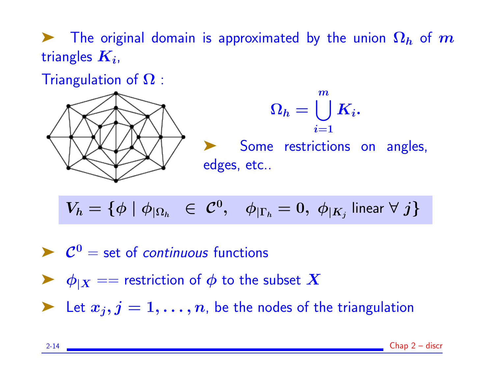$\blacktriangleright$  The original domain is approximated by the union  $\Omega_h$  of m triangles  $\boldsymbol{K_{i}}$ ,

Triangulation of  $\Omega$ :



$$
V_h = \{ \phi \mid \phi_{|\Omega_h} \in \mathcal{C}^0, \quad \phi_{|\Gamma_h} = 0, \ \phi_{|K_j} \text{ linear } \forall j \}
$$

 $\blacktriangleright$   $\mathcal{C}^0$  = set of *continuous* functions

 $\blacktriangleright \phi_{|X} ==$  restriction of  $\phi$  to the subset  $X$ 

Extrapportance  $x_j, j = 1, \ldots, n$ , be the nodes of the triangulation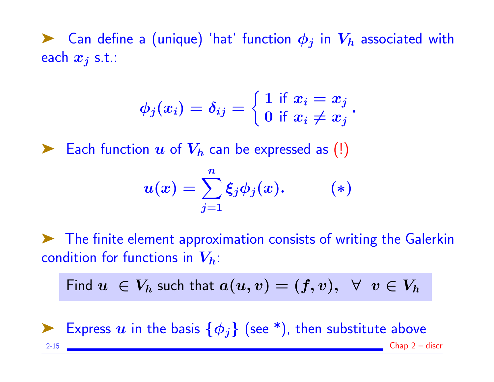Example Can define a (unique) 'hat' function  $\phi_i$  in  $V_h$  associated with each  $x_j$  s.t.:

$$
\phi_j(x_i)=\delta_{ij}=\left\{\begin{matrix}1\,\,\text{if}\,\,x_i=x_j\\0\,\,\text{if}\,\,x_i\neq x_j\end{matrix}\right. .
$$

Each function  $u$  of  $V_h$  can be expressed as (!)

$$
u(x) = \sum_{j=1}^n \xi_j \phi_j(x). \qquad (*)
$$

➤ The finite element approximation consists of writing the Galerkin condition for functions in  $V_h$ :

Find 
$$
u \in V_h
$$
 such that  $a(u, v) = (f, v), \forall v \in V_h$ 



Express  $u$  in the basis  $\{\phi_j\}$  (see \*), then substitute above 2-15 Chap 2 – discr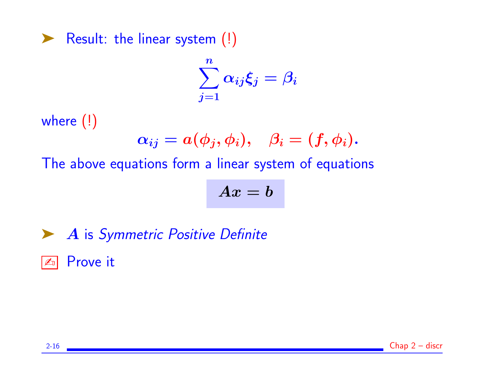▶ Result: the linear system (!)

$$
\sum_{j=1}^n \alpha_{ij}\xi_j=\beta_i
$$

where (!)

$$
\alpha_{ij}=a(\phi_j,\phi_i),\quad \beta_i=(f,\phi_i).
$$

The above equations form a linear system of equations

$$
Ax=b
$$

▶ A is Symmetric Positive Definite

**ED** Prove it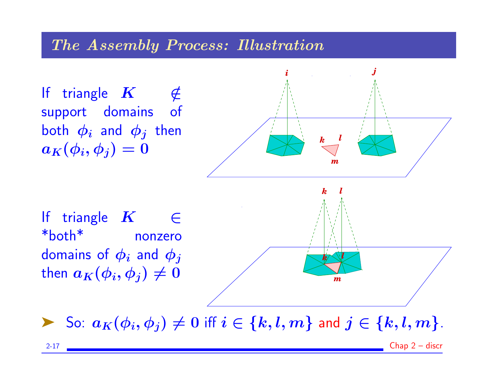#### The Assembly Process: Illustration

If triangle  $K$   $\notin$ support domains of both  $\phi_i$  and  $\phi_j$  then  $a_K(\phi_i, \phi_j) = 0$ 



If triangle  $K \in \mathbb{C}$ \*both\* nonzero domains of  $\phi_i$  and  $\phi_j$ then  $a_K(\phi_i, \phi_j) \neq 0$ 

*m*

So:  $a_K(\phi_i, \phi_j) \neq 0$  iff  $i \in \{k, l, m\}$  and  $j \in \{k, l, m\}$ .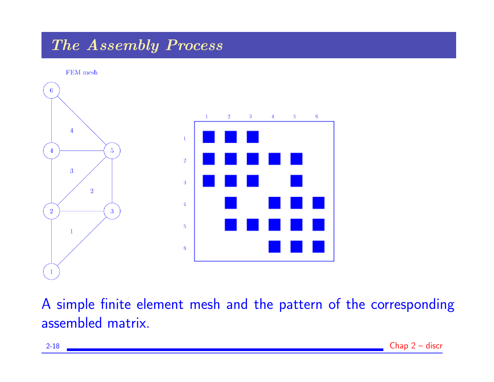# The Assembly Process

FEM mesh  $6<sup>1</sup>$  $\mathbf{1}$  $\mathbf{2}$  $\mathbf{3}$  $\blacktriangleleft$  $5 - 1$ 6  $\overline{4}$  $\mathbf{1}$  $5<sup>5</sup>$  $\sqrt{2}$  $\overline{3}$  $\overline{3}$  $\overline{2}$  $\boldsymbol{4}$  $\overline{2}$  $\overline{3}$  $5\,$  $\mathbf{1}$  $\mathbf{6}$ 

A simple finite element mesh and the pattern of the corresponding assembled matrix.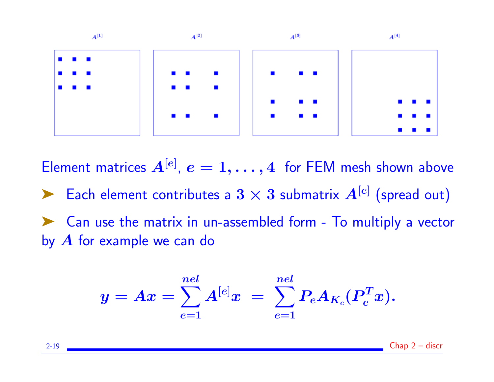

Element matrices  $A^{[e]}$ ,  $e = 1, \ldots, 4$  for FEM mesh shown above Each element contributes a  $3 \times 3$  submatrix  $A^{[e]}$  (spread out) ➤ Can use the matrix in un-assembled form - To multiply a vector by  $A$  for example we can do

$$
y = Ax = \sum_{e=1}^{nel} A^{[e]} x \ = \ \sum_{e=1}^{nel} P_e A_{K_e} (P_e^T x).
$$

2-19 Chap 2 – discr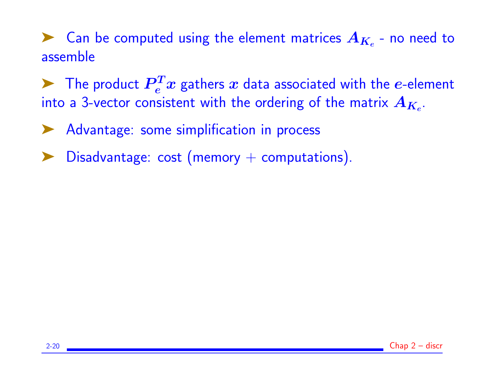Equal to Can be computed using the element matrices  $A_{K_e}$  - no need to assemble

 $\blacktriangleright$  The product  $\boldsymbol{P}_e^T x$  gathers  $x$  data associated with the  $e$ -element into a 3-vector consistent with the ordering of the matrix  $\boldsymbol{A_{K_e}.}$ 

▶ Advantage: some simplification in process

Disadvantage:  $cost$  (memory  $+$  computations).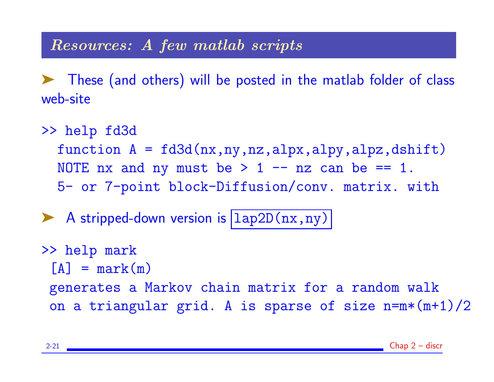### Resources: A few matlab scripts

➤ These (and others) will be posted in the matlab folder of class web-site

>> help fd3d function  $A = f d3d(nx, ny, nz, alpy, alpz, dshift)$ NOTE nx and ny must be  $> 1$  -- nz can be == 1. 5- or 7-point block-Diffusion/conv. matrix. with

A stripped-down version is  $\vert 1ap2D(nx,ny) \vert$ 

>> help mark  $[A]$  = mark(m) generates a Markov chain matrix for a random walk on a triangular grid. A is sparse of size  $n=m*(m+1)/2$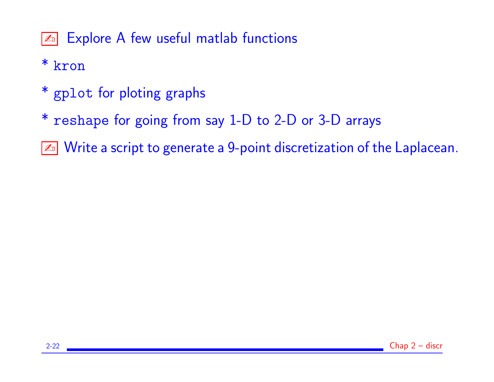**EXPLOTE A few useful matlab functions** 

# \* kron

- \* gplot for ploting graphs
- \* reshape for going from say 1-D to 2-D or 3-D arrays
- $\sqrt{\alpha}$  Write a script to generate a 9-point discretization of the Laplacean.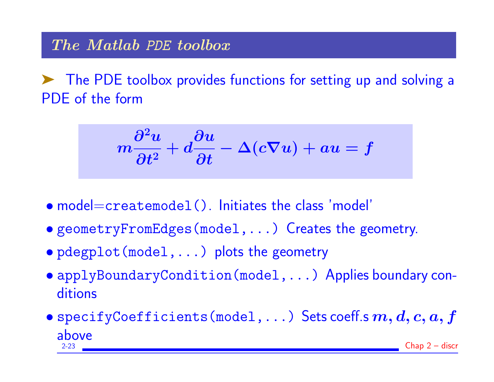# The Matlab PDE toolbox

➤ The PDE toolbox provides functions for setting up and solving a PDE of the form

$$
m\frac{\partial^2 u}{\partial t^2}+d\frac{\partial u}{\partial t}-\Delta(c\nabla u)+au=f
$$

- model=createmodel(). Initiates the class 'model'
- geometryFromEdges(model,...) Creates the geometry.
- pdegplot(model,...) plots the geometry
- applyBoundaryCondition(model,...) Applies boundary conditions
- specifyCoefficients(model,...) Sets coeff.s  $m, d, c, a, f$  $\underset{2-23}{\text{above}}$  $Chap 2 - discr$